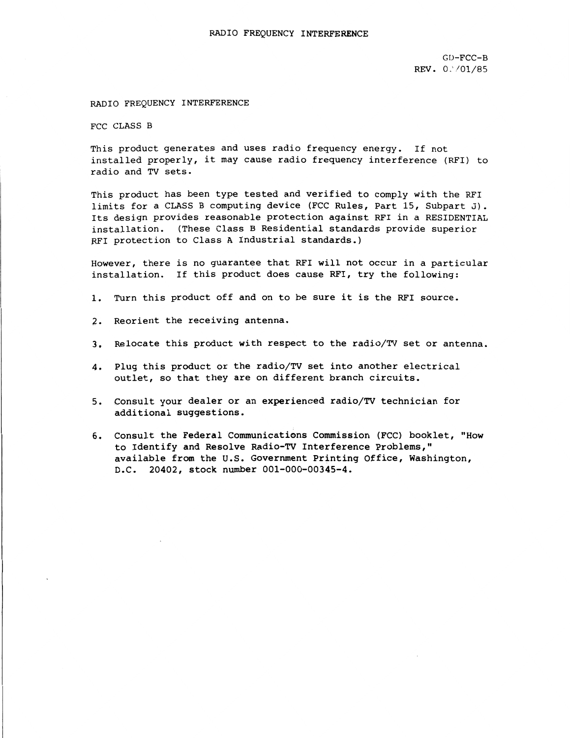GU-FCC-B REV. 0:/01/85

## RADIO FREQUENCY INTERFERENCE

FCC CLASS B

This product generates and uses radio frequency energy. If not installed properly, it may cause radio frequency interference (RFI) to radio and TV sets.

This product has been type tested and verified to comply with the RFI limits for a CLASS B computing device (FCC Rules, Part 15, Subpart J). Its design provides reasonable protection against RFI in a RESIDENTIAL installation. (These Class B Residential standards provide superior RFI protection to Class A Industrial standards.)

However, there is no guarantee that RFI will not occur in a particular installation. If this product does cause RFI, try the following:

- 1. Turn this product off and on to be sure it is the RFI source.
- 2. Reorient the receiving antenna.
- 3. Relocate this product with respect to the radio/TV set or antenna.
- 4. Plug this product or the radio/TV set into another electrical outlet, so that they are on different branch circuits.
- 5. Consult your dealer or an experienced radio/TV technician for additional suggestions.
- 6. Consult the Federal Communications Commission (FCC) booklet, "How to Identify and Resolve Radio-TV Interference Problems," available from the u.s. Government Printing Office, Washington, D.C. 20402, stock number 001-000-00345-4.